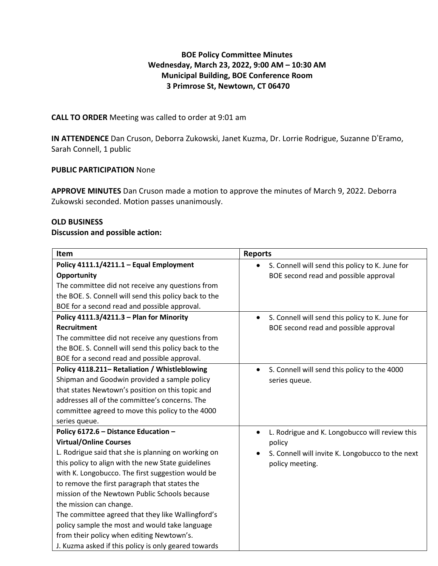# **BOE Policy Committee Minutes Wednesday, March 23, 2022, 9:00 AM – 10:30 AM Municipal Building, BOE Conference Room 3 Primrose St, Newtown, CT 06470**

# **CALL TO ORDER** Meeting was called to order at 9:01 am

**IN ATTENDENCE** Dan Cruson, Deborra Zukowski, Janet Kuzma, Dr. Lorrie Rodrigue, Suzanne D'Eramo, Sarah Connell, 1 public

# **PUBLIC PARTICIPATION** None

**APPROVE MINUTES** Dan Cruson made a motion to approve the minutes of March 9, 2022. Deborra Zukowski seconded. Motion passes unanimously.

#### **OLD BUSINESS**

#### **Discussion and possible action:**

| <b>Item</b>                                           | <b>Reports</b>                                              |
|-------------------------------------------------------|-------------------------------------------------------------|
| Policy 4111.1/4211.1 - Equal Employment               | S. Connell will send this policy to K. June for             |
| Opportunity                                           | BOE second read and possible approval                       |
| The committee did not receive any questions from      |                                                             |
| the BOE. S. Connell will send this policy back to the |                                                             |
| BOE for a second read and possible approval.          |                                                             |
| Policy 4111.3/4211.3 - Plan for Minority              | S. Connell will send this policy to K. June for             |
| <b>Recruitment</b>                                    | BOE second read and possible approval                       |
| The committee did not receive any questions from      |                                                             |
| the BOE. S. Connell will send this policy back to the |                                                             |
| BOE for a second read and possible approval.          |                                                             |
| Policy 4118.211- Retaliation / Whistleblowing         | S. Connell will send this policy to the 4000                |
| Shipman and Goodwin provided a sample policy          | series queue.                                               |
| that states Newtown's position on this topic and      |                                                             |
| addresses all of the committee's concerns. The        |                                                             |
| committee agreed to move this policy to the 4000      |                                                             |
| series queue.                                         |                                                             |
| Policy 6172.6 - Distance Education -                  | L. Rodrigue and K. Longobucco will review this<br>$\bullet$ |
| <b>Virtual/Online Courses</b>                         | policy                                                      |
| L. Rodrigue said that she is planning on working on   | S. Connell will invite K. Longobucco to the next            |
| this policy to align with the new State guidelines    | policy meeting.                                             |
| with K. Longobucco. The first suggestion would be     |                                                             |
| to remove the first paragraph that states the         |                                                             |
| mission of the Newtown Public Schools because         |                                                             |
| the mission can change.                               |                                                             |
| The committee agreed that they like Wallingford's     |                                                             |
| policy sample the most and would take language        |                                                             |
| from their policy when editing Newtown's.             |                                                             |
| J. Kuzma asked if this policy is only geared towards  |                                                             |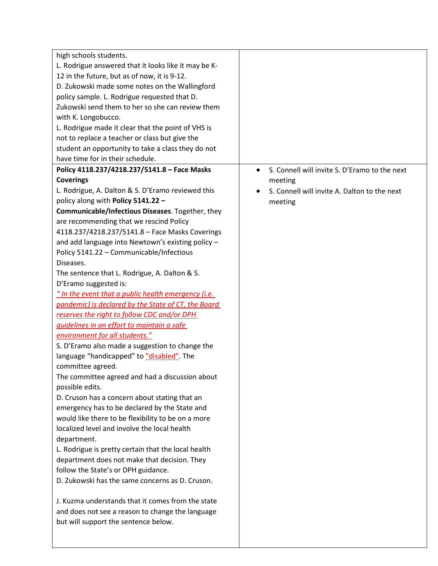| high schools students.                               |                                                            |
|------------------------------------------------------|------------------------------------------------------------|
| L. Rodrigue answered that it looks like it may be K- |                                                            |
| 12 in the future, but as of now, it is 9-12.         |                                                            |
| D. Zukowski made some notes on the Wallingford       |                                                            |
| policy sample. L. Rodrigue requested that D.         |                                                            |
| Zukowski send them to her so she can review them     |                                                            |
| with K. Longobucco.                                  |                                                            |
| L. Rodrigue made it clear that the point of VHS is   |                                                            |
| not to replace a teacher or class but give the       |                                                            |
| student an opportunity to take a class they do not   |                                                            |
| have time for in their schedule.                     |                                                            |
| Policy 4118.237/4218.237/5141.8 - Face Masks         | S. Connell will invite S. D'Eramo to the next<br>$\bullet$ |
| <b>Coverings</b>                                     | meeting                                                    |
| L. Rodrigue, A. Dalton & S. D'Eramo reviewed this    | S. Connell will invite A. Dalton to the next               |
| policy along with Policy 5141.22 -                   | meeting                                                    |
| Communicable/Infectious Diseases. Together, they     |                                                            |
| are recommending that we rescind Policy              |                                                            |
| 4118.237/4218.237/5141.8 - Face Masks Coverings      |                                                            |
| and add language into Newtown's existing policy -    |                                                            |
| Policy 5141.22 - Communicable/Infectious             |                                                            |
| Diseases.                                            |                                                            |
| The sentence that L. Rodrigue, A. Dalton & S.        |                                                            |
| D'Eramo suggested is:                                |                                                            |
| " In the event that a public health emergency (i.e.  |                                                            |
| pandemic) is declared by the State of CT, the Board  |                                                            |
| reserves the right to follow CDC and/or DPH          |                                                            |
| guidelines in an effort to maintain a safe           |                                                            |
| environment for all students."                       |                                                            |
| S. D'Eramo also made a suggestion to change the      |                                                            |
| language "handicapped" to "disabled". The            |                                                            |
| committee agreed.                                    |                                                            |
| The committee agreed and had a discussion about      |                                                            |
| possible edits.                                      |                                                            |
| D. Cruson has a concern about stating that an        |                                                            |
| emergency has to be declared by the State and        |                                                            |
| would like there to be flexibility to be on a more   |                                                            |
| localized level and involve the local health         |                                                            |
| department.                                          |                                                            |
| L. Rodrigue is pretty certain that the local health  |                                                            |
| department does not make that decision. They         |                                                            |
| follow the State's or DPH guidance.                  |                                                            |
| D. Zukowski has the same concerns as D. Cruson.      |                                                            |
| J. Kuzma understands that it comes from the state    |                                                            |
| and does not see a reason to change the language     |                                                            |
| but will support the sentence below.                 |                                                            |
|                                                      |                                                            |
|                                                      |                                                            |